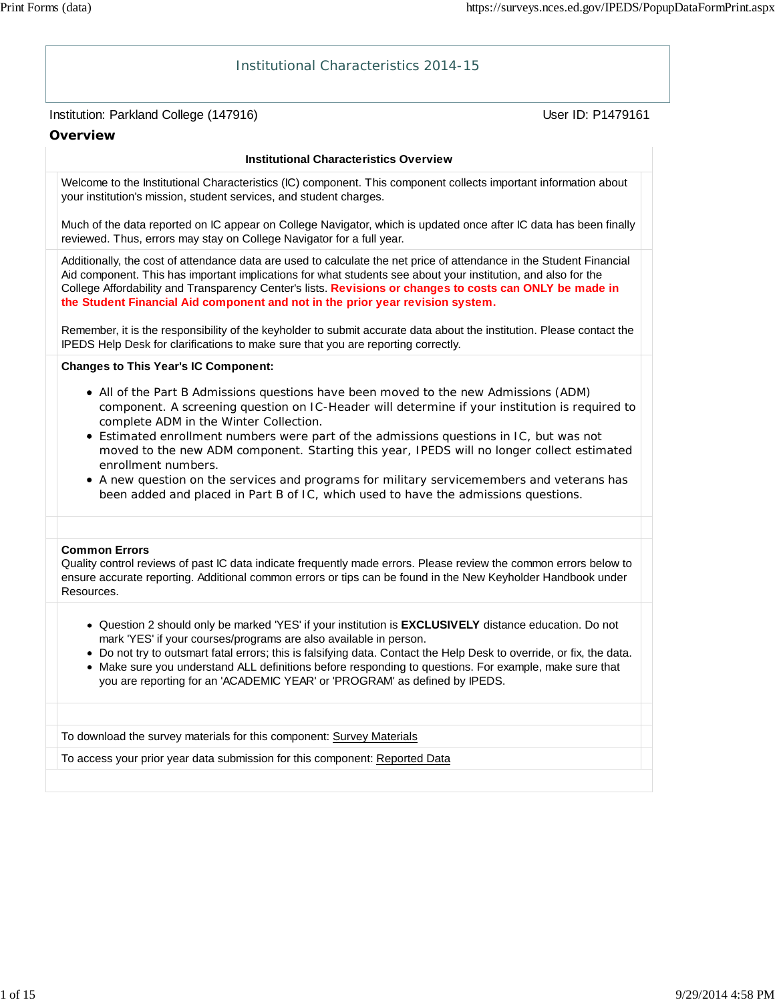# Institution: Parkland College (147916) Contract College (147916) Institutional Characteristics 2014-15 **Overview Institutional Characteristics Overview** Welcome to the Institutional Characteristics (IC) component. This component collects important information about your institution's mission, student services, and student charges. Much of the data reported on IC appear on College Navigator, which is updated once after IC data has been finally reviewed. Thus, errors may stay on College Navigator for a full year. Additionally, the cost of attendance data are used to calculate the net price of attendance in the Student Financial Aid component. This has important implications for what students see about your institution, and also for the College Affordability and Transparency Center's lists. **Revisions or changes to costs can ONLY be made in the Student Financial Aid component and not in the prior year revision system.** Remember, it is the responsibility of the keyholder to submit accurate data about the institution. Please contact the IPEDS Help Desk for clarifications to make sure that you are reporting correctly. **Changes to This Year's IC Component:** All of the Part B Admissions questions have been moved to the new Admissions (ADM) component. A screening question on IC-Header will determine if your institution is required to complete ADM in the Winter Collection. Estimated enrollment numbers were part of the admissions questions in IC, but was not moved to the new ADM component. Starting this year, IPEDS will no longer collect estimated enrollment numbers. A new question on the services and programs for military servicemembers and veterans has been added and placed in Part B of IC, which used to have the admissions questions. **Common Errors** Quality control reviews of past IC data indicate frequently made errors. Please review the common errors below to ensure accurate reporting. Additional common errors or tips can be found in the New Keyholder Handbook under Resources. Question 2 should only be marked 'YES' if your institution is **EXCLUSIVELY** distance education. Do not mark 'YES' if your courses/programs are also available in person. Do not try to outsmart fatal errors; this is falsifying data. Contact the Help Desk to override, or fix, the data. Make sure you understand ALL definitions before responding to questions. For example, make sure that you are reporting for an 'ACADEMIC YEAR' or 'PROGRAM' as defined by IPEDS. To download the survey materials for this component: Survey Materials To access your prior year data submission for this component: Reported Data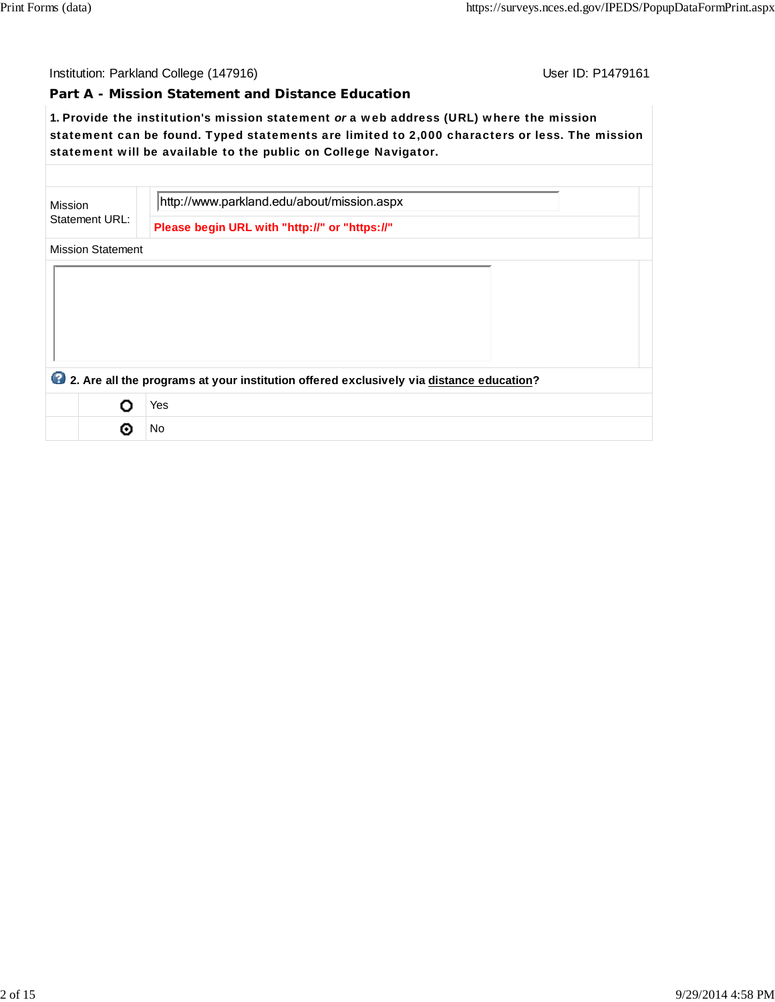User ID: P1479161

#### **Part A - Mission Statement and Distance Education**

**1.** Provide the institution's mission statement *or* a web address (URL) where the mission statement can be found. Typed statements are limited to 2,000 characters or less. The mission statement will be available to the public on College Navigator.

| Mission | Statement URL:           | http://www.parkland.edu/about/mission.aspx                                              |
|---------|--------------------------|-----------------------------------------------------------------------------------------|
|         |                          | Please begin URL with "http://" or "https://"                                           |
|         | <b>Mission Statement</b> |                                                                                         |
|         |                          |                                                                                         |
|         |                          |                                                                                         |
|         |                          |                                                                                         |
|         |                          |                                                                                         |
|         |                          |                                                                                         |
|         |                          | 2. Are all the programs at your institution offered exclusively via distance education? |
|         |                          | Yes                                                                                     |
|         |                          | No                                                                                      |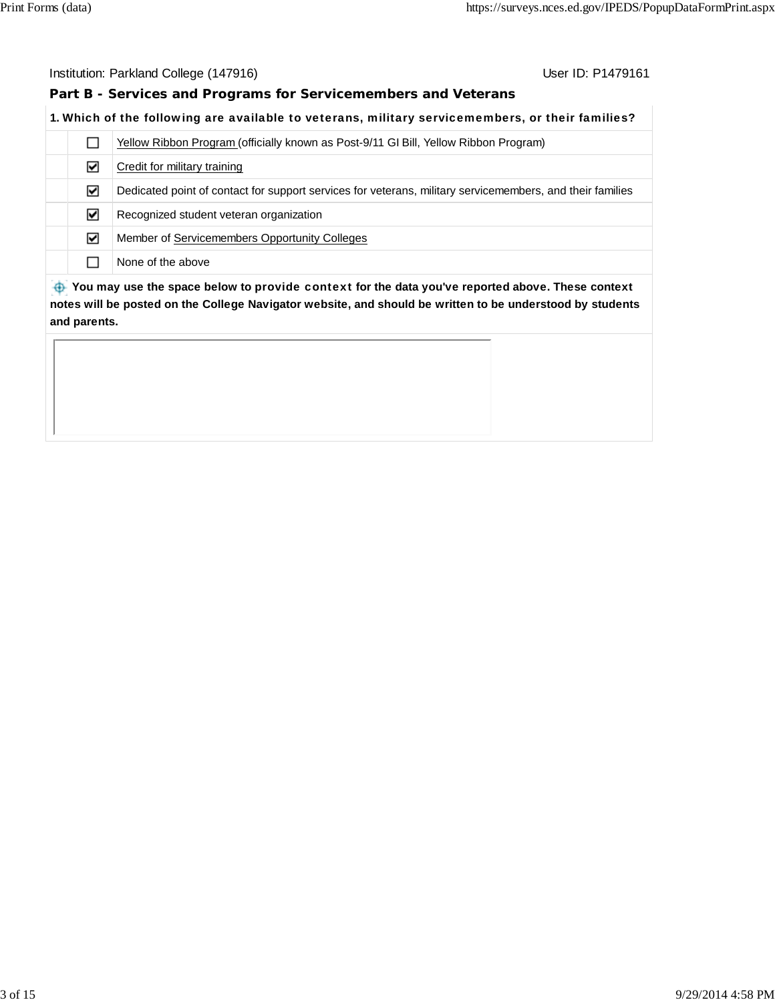## **Part B - Services and Programs for Servicemembers and Veterans**

## **1.** Which of the following are available to veterans, military servicemembers, or their families?

|   |   | Yellow Ribbon Program (officially known as Post-9/11 GI Bill, Yellow Ribbon Program)                      |
|---|---|-----------------------------------------------------------------------------------------------------------|
|   | ☑ | Credit for military training                                                                              |
|   | ☑ | Dedicated point of contact for support services for veterans, military servicemembers, and their families |
|   | ☑ | Recognized student veteran organization                                                                   |
|   | ☑ | Member of Servicemembers Opportunity Colleges                                                             |
|   |   | None of the above                                                                                         |
| . |   |                                                                                                           |

 **You may use the space below to** provide context **for the data you've reported above. These context notes will be posted on the College Navigator website, and should be written to be understood by students and parents.**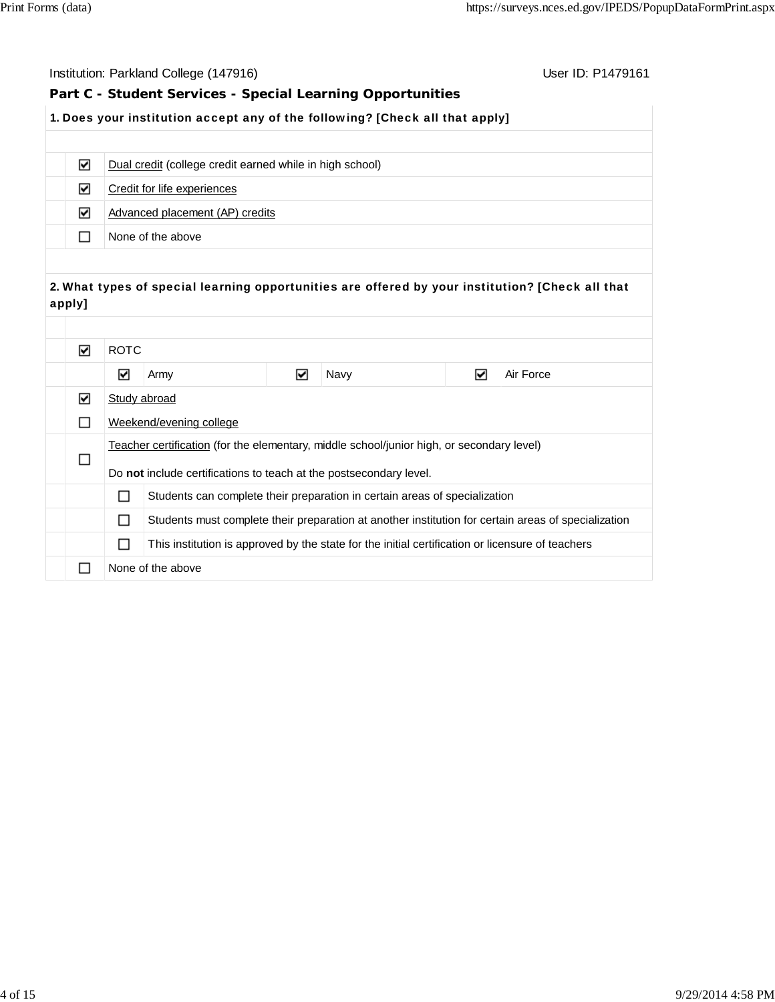|                                                            | Institution: Parkland College (147916)<br>User ID: P1479161                  |                                                                                                       |                                                          |   |      |   |                                                                                                     |
|------------------------------------------------------------|------------------------------------------------------------------------------|-------------------------------------------------------------------------------------------------------|----------------------------------------------------------|---|------|---|-----------------------------------------------------------------------------------------------------|
| Part C - Student Services - Special Learning Opportunities |                                                                              |                                                                                                       |                                                          |   |      |   |                                                                                                     |
|                                                            | 1. Does your institution accept any of the following? [Check all that apply] |                                                                                                       |                                                          |   |      |   |                                                                                                     |
|                                                            |                                                                              |                                                                                                       |                                                          |   |      |   |                                                                                                     |
|                                                            | ☑                                                                            |                                                                                                       | Dual credit (college credit earned while in high school) |   |      |   |                                                                                                     |
|                                                            | ☑                                                                            |                                                                                                       | Credit for life experiences                              |   |      |   |                                                                                                     |
|                                                            | ☑                                                                            |                                                                                                       | Advanced placement (AP) credits                          |   |      |   |                                                                                                     |
|                                                            | □                                                                            |                                                                                                       | None of the above                                        |   |      |   |                                                                                                     |
|                                                            |                                                                              |                                                                                                       |                                                          |   |      |   |                                                                                                     |
|                                                            |                                                                              |                                                                                                       |                                                          |   |      |   | 2. What types of special learning opportunities are offered by your institution? [Check all that    |
| apply]                                                     |                                                                              |                                                                                                       |                                                          |   |      |   |                                                                                                     |
|                                                            |                                                                              |                                                                                                       |                                                          |   |      |   |                                                                                                     |
|                                                            | ☑                                                                            | <b>ROTC</b>                                                                                           |                                                          |   |      |   |                                                                                                     |
|                                                            |                                                                              | ☑                                                                                                     | Army                                                     | ☑ | Navy | ☑ | Air Force                                                                                           |
|                                                            | ☑                                                                            |                                                                                                       | Study abroad                                             |   |      |   |                                                                                                     |
|                                                            | □                                                                            |                                                                                                       | Weekend/evening college                                  |   |      |   |                                                                                                     |
|                                                            |                                                                              | Teacher certification (for the elementary, middle school/junior high, or secondary level)             |                                                          |   |      |   |                                                                                                     |
|                                                            | □                                                                            | Do not include certifications to teach at the postsecondary level.                                    |                                                          |   |      |   |                                                                                                     |
|                                                            |                                                                              | □<br>Students can complete their preparation in certain areas of specialization                       |                                                          |   |      |   |                                                                                                     |
|                                                            |                                                                              | П                                                                                                     |                                                          |   |      |   | Students must complete their preparation at another institution for certain areas of specialization |
|                                                            |                                                                              | This institution is approved by the state for the initial certification or licensure of teachers<br>П |                                                          |   |      |   |                                                                                                     |
|                                                            | $\Box$                                                                       | None of the above                                                                                     |                                                          |   |      |   |                                                                                                     |
|                                                            |                                                                              |                                                                                                       |                                                          |   |      |   |                                                                                                     |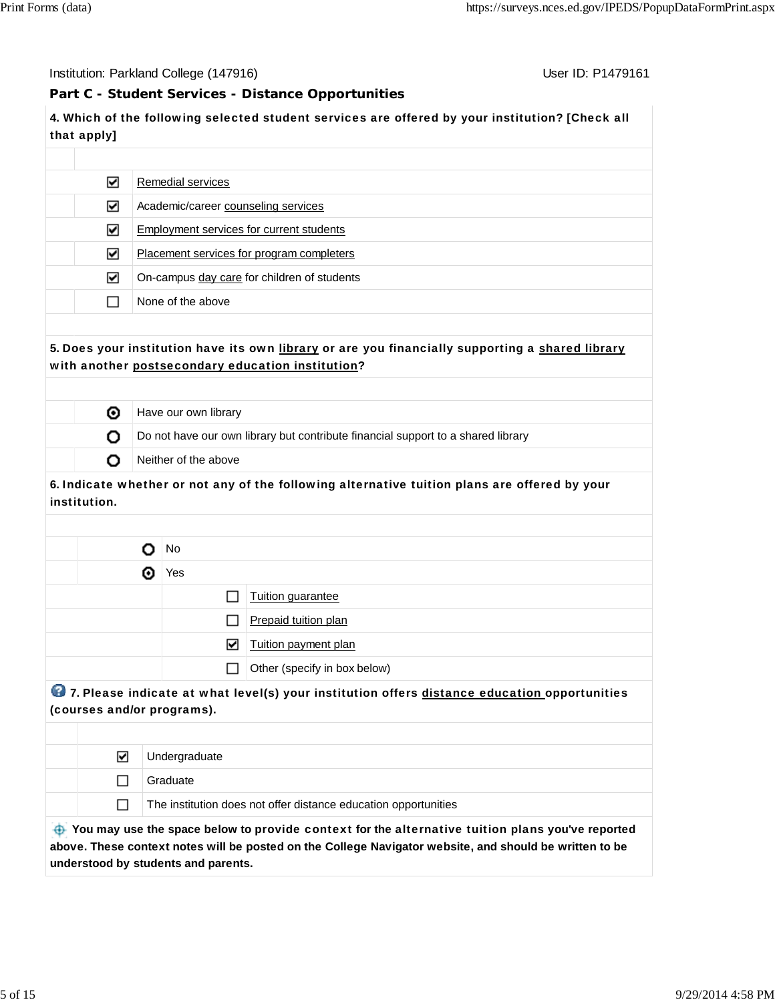Institution: Parkland College (147916) November 2012 12: P1479161

## **Part C - Student Services - Distance Opportunities**

**4.** Which of the following selected student services are offered by your institution? [Check all that apply]

| ☑ | Remedial services                           |
|---|---------------------------------------------|
| ⊻ | Academic/career counseling services         |
| ☑ | Employment services for current students    |
| ☑ | Placement services for program completers   |
| ☑ | On-campus day care for children of students |
|   | None of the above                           |
|   |                                             |

## **5.** Does your institution have its own library or are you financially supporting a shared library with another postsecondary education institution?

| ⊙ | Have our own library                                                             |
|---|----------------------------------------------------------------------------------|
|   | Do not have our own library but contribute financial support to a shared library |
|   | Neither of the above                                                             |

## **6.** Indicate whether or not any of the following alternative tuition plans are offered by your institution.

|   |   | No                       |                              |  |  |
|---|---|--------------------------|------------------------------|--|--|
|   | ⊙ | Yes                      |                              |  |  |
|   |   |                          | Tuition guarantee            |  |  |
|   |   | ı ı                      | Prepaid tuition plan         |  |  |
| 罓 |   |                          | Tuition payment plan         |  |  |
|   |   | $\overline{\phantom{a}}$ | Other (specify in box below) |  |  |
|   |   |                          |                              |  |  |

## **<sup>1</sup>2** 7. Please indicate at what level(s) your institution offers distance education opportunities (courses and/or programs).

| ⊽ | Undergraduate                                                   |
|---|-----------------------------------------------------------------|
|   | Graduate                                                        |
|   | The institution does not offer distance education opportunities |
|   |                                                                 |

 **You may use the space below to** provide context **for the** alternative tuition plans **you've reported above. These context notes will be posted on the College Navigator website, and should be written to be understood by students and parents.**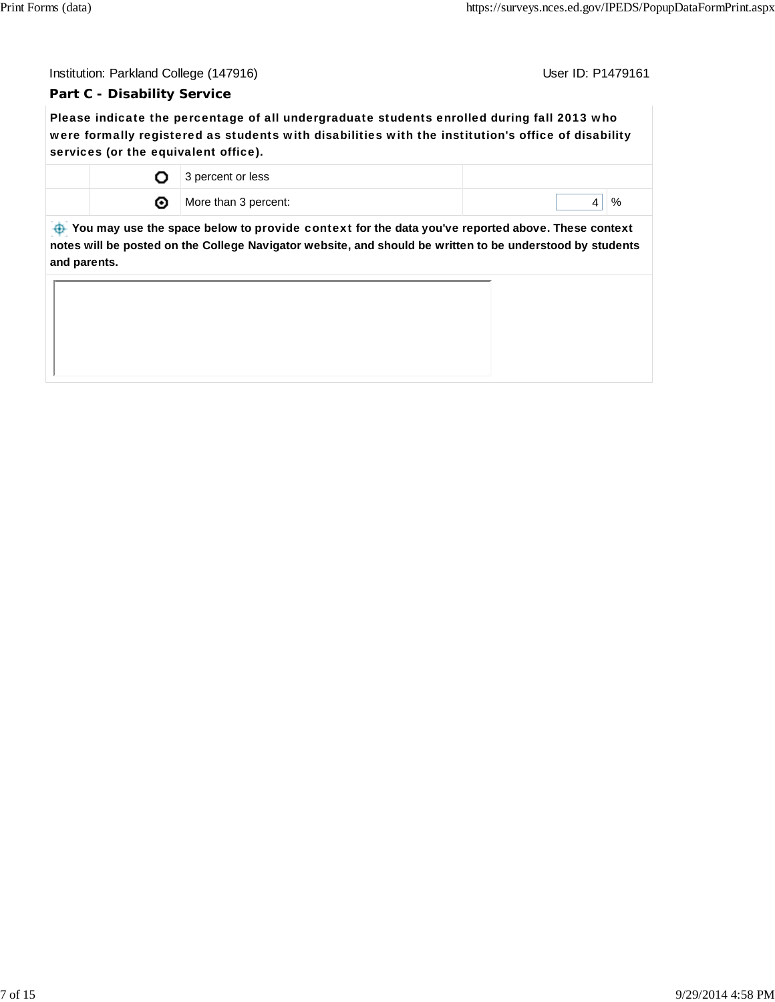## **Part C - Disability Service**

Please indicate the percentage of all undergraduate students enrolled during fall 2013 who were formally registered as students with disabilities with the institution's office of disability services (or the equivalent office).

|   | 3 percent or less    |      |
|---|----------------------|------|
| ⊙ | More than 3 percent: | $\%$ |

 **You may use the space below to** provide context **for the data you've reported above. These context notes will be posted on the College Navigator website, and should be written to be understood by students and parents.**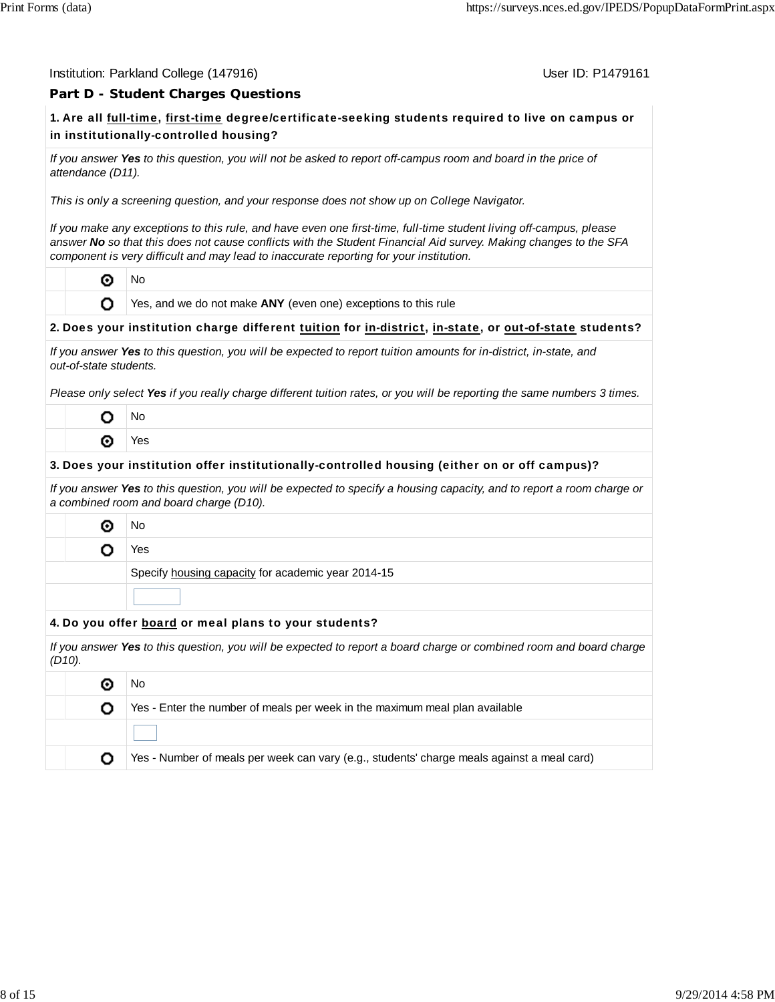#### Institution: Parkland College (147916) November 2012 12: P1479161

## **Part D - Student Charges Questions**

## **1.** Are all full-time, first-time degree/certificate-seeking students required to live on campus or in institutionally-controlled housing?

*If you answer Yes to this question, you will not be asked to report off-campus room and board in the price of attendance (D11).*

*This is only a screening question, and your response does not show up on College Navigator.*

*If you make any exceptions to this rule, and have even one first-time, full-time student living off-campus, please answer No so that this does not cause conflicts with the Student Financial Aid survey. Making changes to the SFA component is very difficult and may lead to inaccurate reporting for your institution.*

 $\odot$  No

**O** Yes, and we do not make **ANY** (even one) exceptions to this rule

#### **2.** Does your institution charge different tuition for in-district, in-state, or out-of-state students?

| If you answer Yes to this question, you will be expected to report tuition amounts for in-district, in-state, and |  |
|-------------------------------------------------------------------------------------------------------------------|--|
| out-of-state students.                                                                                            |  |

*Please only select Yes if you really charge different tuition rates, or you will be reporting the same numbers 3 times.*

| ١o     |
|--------|
| c<br>s |

#### **3.** Does your institution offer institutionally-controlled housing (either on or off campus)?

*If you answer Yes to this question, you will be expected to specify a housing capacity, and to report a room charge or a combined room and board charge (D10).*

**O** No

O Yes

Specify housing capacity for academic year 2014-15

#### **4.** Do you offer board or meal plans to your students?

*If you answer Yes to this question, you will be expected to report a board charge or combined room and board charge (D10).*

|  | Νo                                                                                         |
|--|--------------------------------------------------------------------------------------------|
|  | Yes - Enter the number of meals per week in the maximum meal plan available                |
|  |                                                                                            |
|  | Yes - Number of meals per week can vary (e.g., students' charge meals against a meal card) |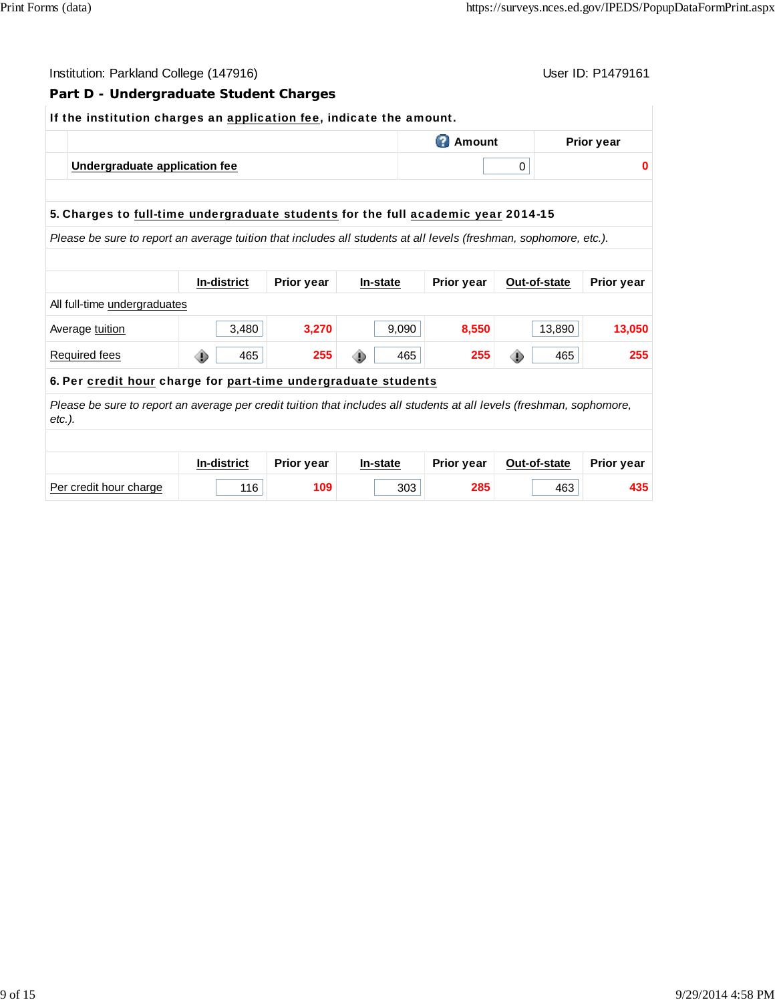| Part D - Undergraduate Student Charges<br>If the institution charges an application fee, indicate the amount.<br><b>C</b> Amount<br><b>Prior year</b><br>Undergraduate application fee<br>0<br>5. Charges to full-time undergraduate students for the full academic year 2014-15<br>Please be sure to report an average tuition that includes all students at all levels (freshman, sophomore, etc.).<br>In-district<br><b>Prior year</b><br><b>Prior year</b><br>Out-of-state<br>In-state<br>All full-time undergraduates<br>3,480<br>3,270<br>8,550<br>9,090<br>13,890<br>Average tuition | User ID: P1479161<br>Institution: Parkland College (147916) |     |     |     |     |          |                   |  |  |  |
|---------------------------------------------------------------------------------------------------------------------------------------------------------------------------------------------------------------------------------------------------------------------------------------------------------------------------------------------------------------------------------------------------------------------------------------------------------------------------------------------------------------------------------------------------------------------------------------------|-------------------------------------------------------------|-----|-----|-----|-----|----------|-------------------|--|--|--|
|                                                                                                                                                                                                                                                                                                                                                                                                                                                                                                                                                                                             |                                                             |     |     |     |     |          |                   |  |  |  |
|                                                                                                                                                                                                                                                                                                                                                                                                                                                                                                                                                                                             |                                                             |     |     |     |     |          |                   |  |  |  |
|                                                                                                                                                                                                                                                                                                                                                                                                                                                                                                                                                                                             |                                                             |     |     |     |     |          |                   |  |  |  |
|                                                                                                                                                                                                                                                                                                                                                                                                                                                                                                                                                                                             |                                                             |     |     |     |     | $\bf{0}$ |                   |  |  |  |
|                                                                                                                                                                                                                                                                                                                                                                                                                                                                                                                                                                                             |                                                             |     |     |     |     |          |                   |  |  |  |
|                                                                                                                                                                                                                                                                                                                                                                                                                                                                                                                                                                                             |                                                             |     |     |     |     |          |                   |  |  |  |
|                                                                                                                                                                                                                                                                                                                                                                                                                                                                                                                                                                                             |                                                             |     |     |     |     |          |                   |  |  |  |
|                                                                                                                                                                                                                                                                                                                                                                                                                                                                                                                                                                                             |                                                             |     |     |     |     |          |                   |  |  |  |
|                                                                                                                                                                                                                                                                                                                                                                                                                                                                                                                                                                                             |                                                             |     |     |     |     |          | <b>Prior year</b> |  |  |  |
|                                                                                                                                                                                                                                                                                                                                                                                                                                                                                                                                                                                             |                                                             |     |     |     |     |          |                   |  |  |  |
|                                                                                                                                                                                                                                                                                                                                                                                                                                                                                                                                                                                             |                                                             |     |     |     |     |          | 13,050            |  |  |  |
| ⊕<br>œ<br>⊕                                                                                                                                                                                                                                                                                                                                                                                                                                                                                                                                                                                 | <b>Required fees</b>                                        | 465 | 255 | 465 | 255 | 465      | 255               |  |  |  |
| 6. Per credit hour charge for part-time undergraduate students                                                                                                                                                                                                                                                                                                                                                                                                                                                                                                                              |                                                             |     |     |     |     |          |                   |  |  |  |
| Please be sure to report an average per credit tuition that includes all students at all levels (freshman, sophomore,<br>etc.).                                                                                                                                                                                                                                                                                                                                                                                                                                                             |                                                             |     |     |     |     |          |                   |  |  |  |
|                                                                                                                                                                                                                                                                                                                                                                                                                                                                                                                                                                                             |                                                             |     |     |     |     |          |                   |  |  |  |
| <b>In-district</b><br><b>Prior year</b><br><b>Prior year</b><br>In-state<br>Out-of-state                                                                                                                                                                                                                                                                                                                                                                                                                                                                                                    |                                                             |     |     |     |     |          | <b>Prior year</b> |  |  |  |
| Per credit hour charge<br>109<br>285<br>116<br>303<br>463                                                                                                                                                                                                                                                                                                                                                                                                                                                                                                                                   |                                                             |     |     |     |     |          | 435               |  |  |  |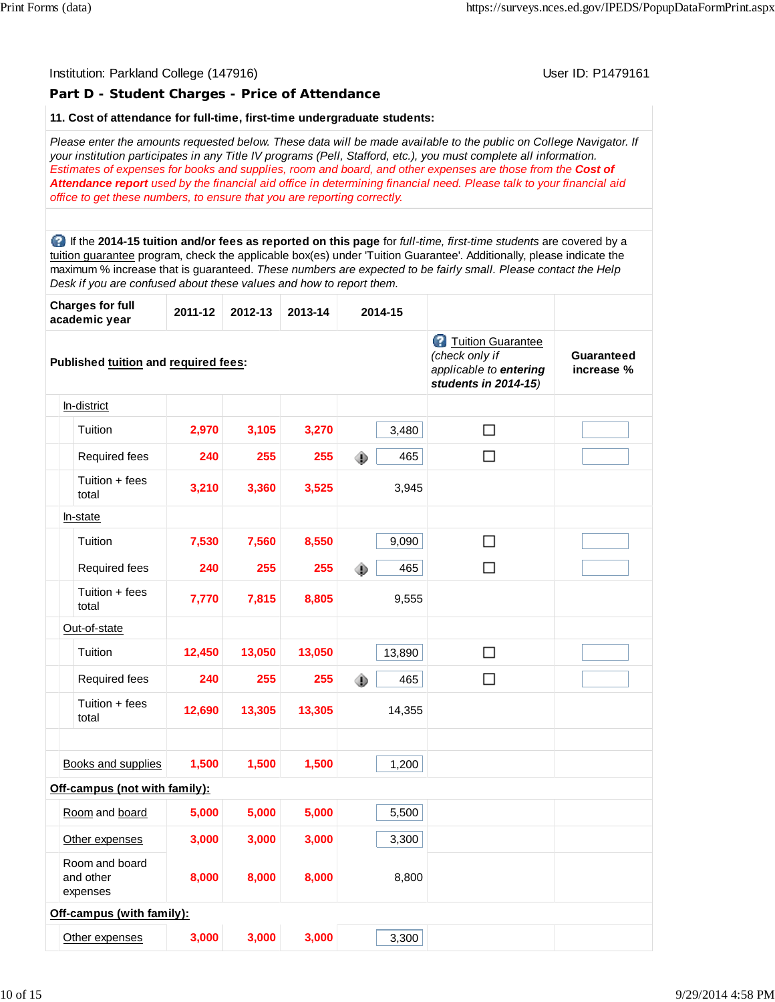## Institution: Parkland College (147916) November 2012 12: P1479161 **Part D - Student Charges - Price of Attendance 11. Cost of attendance for full-time, first-time undergraduate students:** *Please enter the amounts requested below. These data will be made available to the public on College Navigator. If your institution participates in any Title IV programs (Pell, Stafford, etc.), you must complete all information. Estimates of expenses for books and supplies, room and board, and other expenses are those from the Cost of Attendance report used by the financial aid office in determining financial need. Please talk to your financial aid office to get these numbers, to ensure that you are reporting correctly.* If the **2014-15 tuition and/or fees as reported on this page** for *full-time, first-time students* are covered by a tuition guarantee program, check the applicable box(es) under 'Tuition Guarantee'. Additionally, please indicate the maximum % increase that is guaranteed. *These numbers are expected to be fairly small. Please contact the Help Desk if you are confused about these values and how to report them.* **Charges for full academic year 2011-12 2012-13 2013-14 2014-15 Tuition Guarantee** *(check only if* **Guaranteed Published tuition and required fees:** *applicable to entering* **increase %** *students in 2014-15)* In-district **Tuition** 2,970 3,105 3,270 3,480 □  $\Box$ Required fees **240 255 255 465**  Tuition + fees total **3,210 3,360 3,525** 3,945 In-state **Tuition** 7,530 7,560 8,550 9,090  $\Box$  $\Box$  Required fees **240 255 255** 465 Tuition + fees total **7,770 7,815 8,805** 9,555 Out-of-state  $\Box$  Tuition **12,450 13,050 13,050** 13,890 Required fees **240 255 255 465**  $\Box$  Tuition + fees total **12,690 13,305 13,305** 14,355 Books and supplies **1,500 1,500 1,500** 1,200 **Off-campus (not with family):** Room and board **5,000 5,000 5,000** 5,500 Other expenses **3,000 3,000 3,000** 3,300 Room and board and other **8,000 8,000 8,000** 8,800 expenses **Off-campus (with family):** Other expenses **3,000 3,000 3,000** 3,300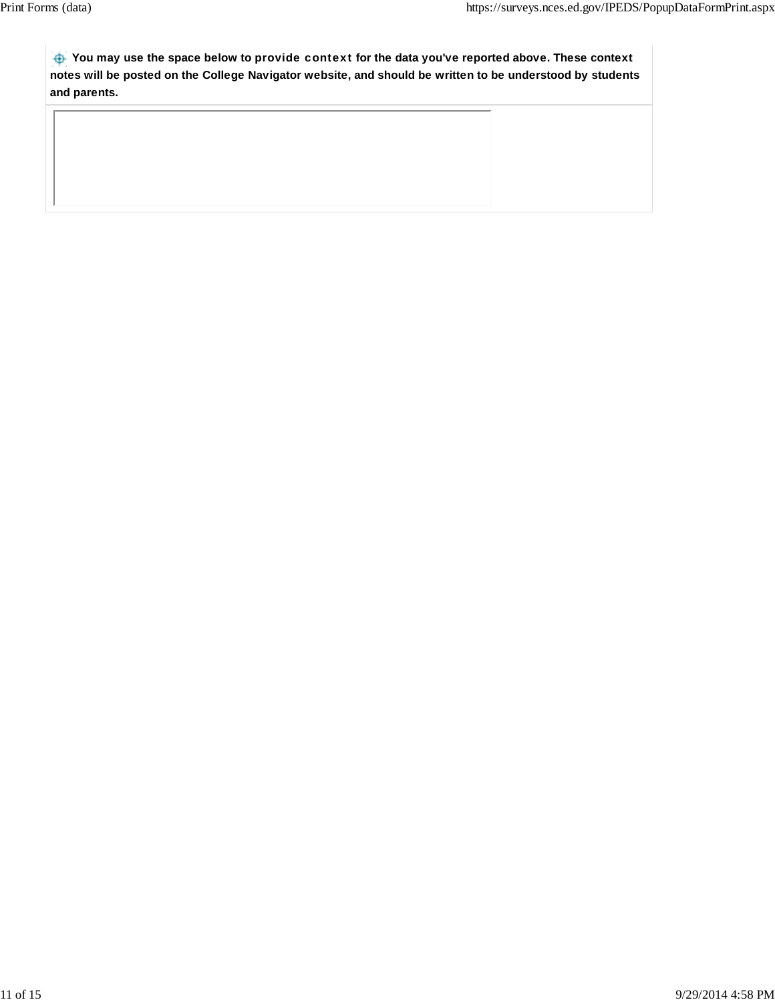**You may use the space below to** provide context **for the data you've reported above. These context notes will be posted on the College Navigator website, and should be written to be understood by students and parents.**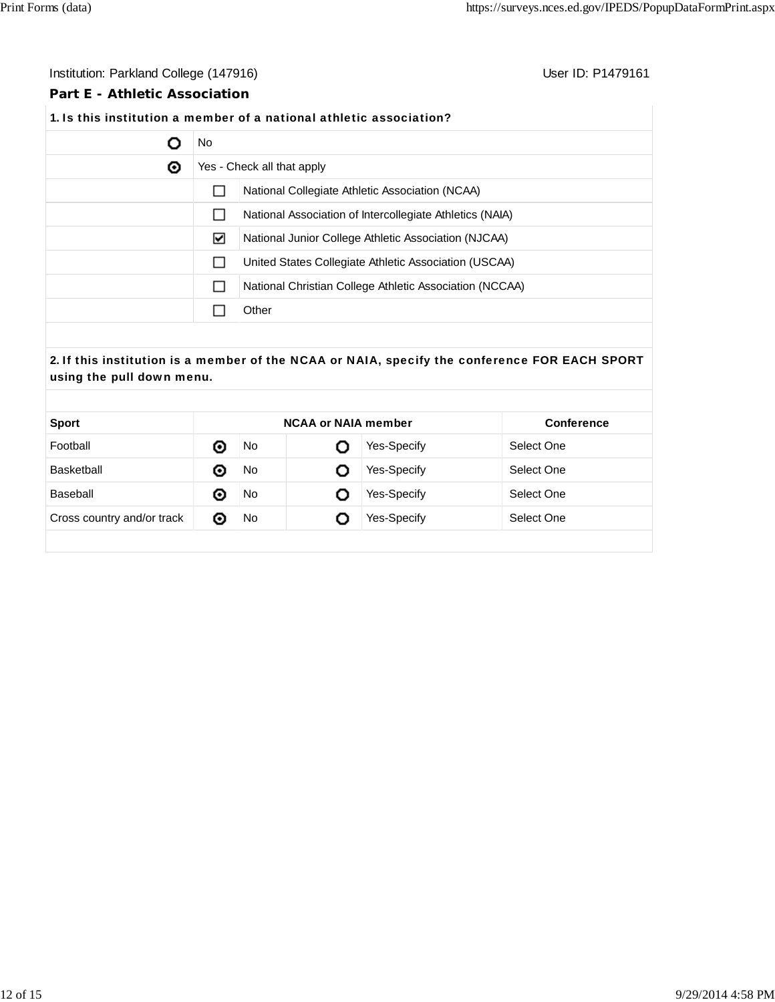## Institution: Parkland College (147916) **Institution: Parkland College (147916**)

## **Part E - Athletic Association**

# **1.** Is this institution a member of a national athletic association?

|   | No.          |                                                          |  |  |  |  |  |
|---|--------------|----------------------------------------------------------|--|--|--|--|--|
| ◉ |              | Yes - Check all that apply                               |  |  |  |  |  |
|   |              | National Collegiate Athletic Association (NCAA)          |  |  |  |  |  |
|   | $\mathbf{I}$ | National Association of Intercollegiate Athletics (NAIA) |  |  |  |  |  |
|   | ⊻            | National Junior College Athletic Association (NJCAA)     |  |  |  |  |  |
|   |              | United States Collegiate Athletic Association (USCAA)    |  |  |  |  |  |
|   | $\mathbf{L}$ | National Christian College Athletic Association (NCCAA)  |  |  |  |  |  |
|   |              | Other                                                    |  |  |  |  |  |

## **2.** If this institution is a member of the NCAA or NAIA, specify the conference FOR EACH SPORT using the pull down menu.

| <b>Sport</b>               | <b>NCAA or NAIA member</b> |    |   |                    | <b>Conference</b> |
|----------------------------|----------------------------|----|---|--------------------|-------------------|
| Football                   | ⊙                          | No |   | Yes-Specify        | Select One        |
| Basketball                 | ⊙                          | No | O | <b>Yes-Specify</b> | Select One        |
| Baseball                   | ⊙                          | No | O | Yes-Specify        | Select One        |
| Cross country and/or track | $\bullet$                  | No | O | Yes-Specify        | Select One        |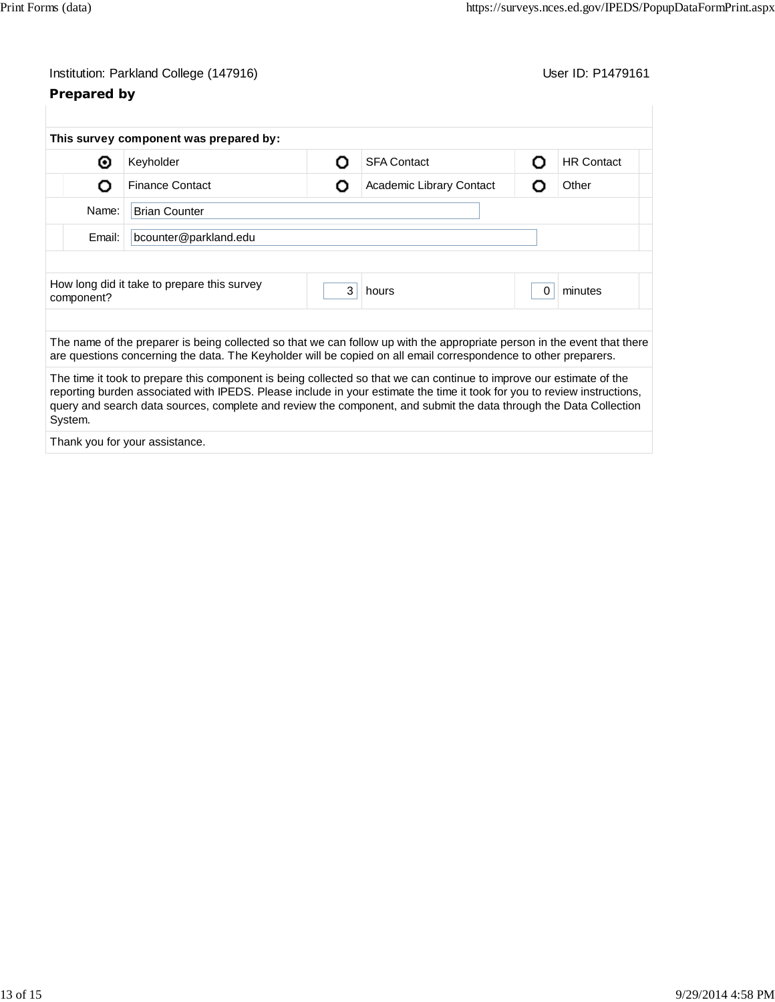# **Prepared by**

|                                 | This survey component was prepared by:                                                                                                                                                                                                                                                                                                                                |   |                          |          |                   |  |  |  |
|---------------------------------|-----------------------------------------------------------------------------------------------------------------------------------------------------------------------------------------------------------------------------------------------------------------------------------------------------------------------------------------------------------------------|---|--------------------------|----------|-------------------|--|--|--|
| ⊙                               | Keyholder                                                                                                                                                                                                                                                                                                                                                             | റ | <b>SFA Contact</b>       | Ω        | <b>HR Contact</b> |  |  |  |
| Ω                               | <b>Finance Contact</b>                                                                                                                                                                                                                                                                                                                                                | О | Academic Library Contact | Ο        | Other             |  |  |  |
| Name:<br><b>Brian Counter</b>   |                                                                                                                                                                                                                                                                                                                                                                       |   |                          |          |                   |  |  |  |
| Email:<br>bcounter@parkland.edu |                                                                                                                                                                                                                                                                                                                                                                       |   |                          |          |                   |  |  |  |
|                                 |                                                                                                                                                                                                                                                                                                                                                                       |   |                          |          |                   |  |  |  |
| component?                      | How long did it take to prepare this survey                                                                                                                                                                                                                                                                                                                           | 3 | hours                    | $\Omega$ | minutes           |  |  |  |
|                                 | The name of the preparer is being collected so that we can follow up with the appropriate person in the event that there                                                                                                                                                                                                                                              |   |                          |          |                   |  |  |  |
|                                 | are questions concerning the data. The Keyholder will be copied on all email correspondence to other preparers.                                                                                                                                                                                                                                                       |   |                          |          |                   |  |  |  |
| System.                         | The time it took to prepare this component is being collected so that we can continue to improve our estimate of the<br>reporting burden associated with IPEDS. Please include in your estimate the time it took for you to review instructions,<br>query and search data sources, complete and review the component, and submit the data through the Data Collection |   |                          |          |                   |  |  |  |
|                                 |                                                                                                                                                                                                                                                                                                                                                                       |   |                          |          |                   |  |  |  |

Thank you for your assistance.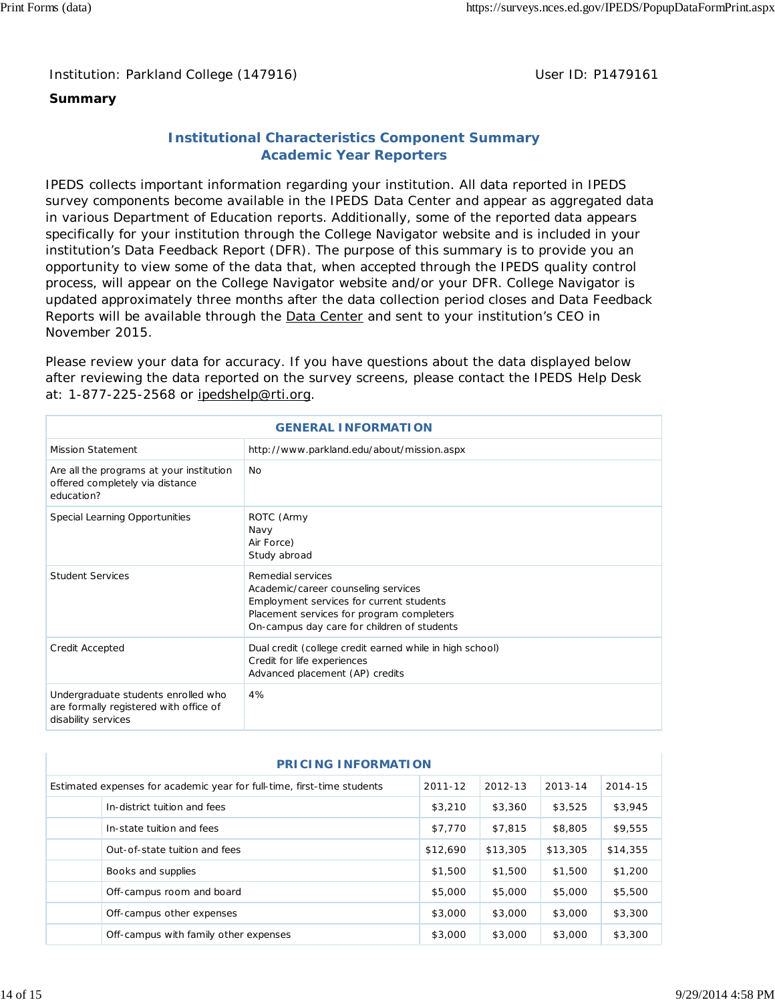## **Summary**

## **Institutional Characteristics Component Summary Academic Year Reporters**

IPEDS collects important information regarding your institution. All data reported in IPEDS survey components become available in the IPEDS Data Center and appear as aggregated data in various Department of Education reports. Additionally, some of the reported data appears specifically for your institution through the College Navigator website and is included in your institution's Data Feedback Report (DFR). The purpose of this summary is to provide you an opportunity to view some of the data that, when accepted through the IPEDS quality control process, will appear on the College Navigator website and/or your DFR. College Navigator is updated approximately three months after the data collection period closes and Data Feedback Reports will be available through the Data Center and sent to your institution's CEO in November 2015.

Please review your data for accuracy. If you have questions about the data displayed below after reviewing the data reported on the survey screens, please contact the IPEDS Help Desk at: 1-877-225-2568 or ipedshelp@rti.org.

| <b>GENERAL INFORMATION</b>                                                                           |                                                                                                                                                                                                  |  |  |  |
|------------------------------------------------------------------------------------------------------|--------------------------------------------------------------------------------------------------------------------------------------------------------------------------------------------------|--|--|--|
|                                                                                                      |                                                                                                                                                                                                  |  |  |  |
| <b>Mission Statement</b>                                                                             | http://www.parkland.edu/about/mission.aspx                                                                                                                                                       |  |  |  |
| Are all the programs at your institution<br>offered completely via distance<br>education?            | No.                                                                                                                                                                                              |  |  |  |
| Special Learning Opportunities                                                                       | ROTC (Army<br>Navy<br>Air Force)<br>Study abroad                                                                                                                                                 |  |  |  |
| <b>Student Services</b>                                                                              | Remedial services<br>Academic/career counseling services<br>Employment services for current students<br>Placement services for program completers<br>On-campus day care for children of students |  |  |  |
| Credit Accepted                                                                                      | Dual credit (college credit earned while in high school)<br>Credit for life experiences<br>Advanced placement (AP) credits                                                                       |  |  |  |
| Undergraduate students enrolled who<br>are formally registered with office of<br>disability services | 4%                                                                                                                                                                                               |  |  |  |

| <b>PRICING INFORMATION</b> |                                                                         |          |          |          |          |  |  |  |
|----------------------------|-------------------------------------------------------------------------|----------|----------|----------|----------|--|--|--|
|                            | Estimated expenses for academic year for full-time, first-time students | 2011-12  | 2012-13  | 2013-14  | 2014-15  |  |  |  |
|                            | In-district tuition and fees                                            | \$3.210  | \$3,360  | \$3,525  | \$3,945  |  |  |  |
|                            | In-state tuition and fees                                               | \$7,770  | \$7,815  | \$8,805  | \$9,555  |  |  |  |
|                            | Out-of-state tuition and fees                                           | \$12,690 | \$13,305 | \$13,305 | \$14,355 |  |  |  |
|                            | Books and supplies                                                      | \$1,500  | \$1,500  | \$1,500  | \$1,200  |  |  |  |
|                            | Off-campus room and board                                               | \$5,000  | \$5,000  | \$5,000  | \$5,500  |  |  |  |
|                            | Off-campus other expenses                                               | \$3,000  | \$3,000  | \$3,000  | \$3,300  |  |  |  |
|                            | Off-campus with family other expenses                                   | \$3,000  | \$3,000  | \$3,000  | \$3,300  |  |  |  |